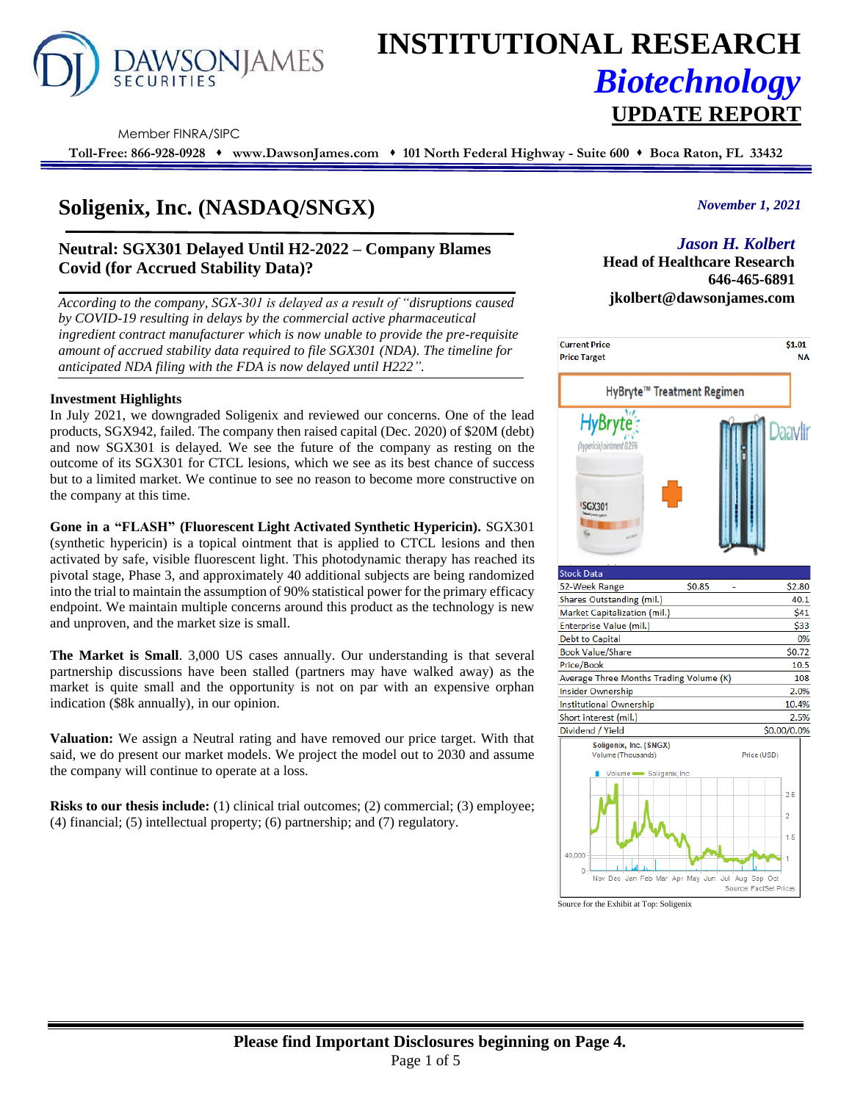

# **INSTITUTIONAL RESEARCH** *Biotechnology* **UPDATE REPORT**

Member FINRA/SIPC

**Toll-Free: 866-928-0928** ⬧ **www.DawsonJames.com** ⬧ **101 North Federal Highway - Suite 600** ⬧ **Boca Raton, FL 33432**

# **Soligenix, Inc. (NASDAQ/SNGX)**

## **Neutral: SGX301 Delayed Until H2-2022 – Company Blames Covid (for Accrued Stability Data)?**

*According to the company, SGX-301 is delayed as a result of "disruptions caused by COVID-19 resulting in delays by the commercial active pharmaceutical ingredient contract manufacturer which is now unable to provide the pre-requisite amount of accrued stability data required to file SGX301 (NDA). The timeline for anticipated NDA filing with the FDA is now delayed until H222".*

#### **Investment Highlights**

In July 2021, we downgraded Soligenix and reviewed our concerns. One of the lead products, SGX942, failed. The company then raised capital (Dec. 2020) of \$20M (debt) and now SGX301 is delayed. We see the future of the company as resting on the outcome of its SGX301 for CTCL lesions, which we see as its best chance of success but to a limited market. We continue to see no reason to become more constructive on the company at this time.

**Gone in a "FLASH" (Fluorescent Light Activated Synthetic Hypericin).** SGX301 (synthetic hypericin) is a topical ointment that is applied to CTCL lesions and then activated by safe, visible fluorescent light. This photodynamic therapy has reached its pivotal stage, Phase 3, and approximately 40 additional subjects are being randomized into the trial to maintain the assumption of 90% statistical power for the primary efficacy endpoint. We maintain multiple concerns around this product as the technology is new and unproven, and the market size is small.

**The Market is Small**. 3,000 US cases annually. Our understanding is that several partnership discussions have been stalled (partners may have walked away) as the market is quite small and the opportunity is not on par with an expensive orphan indication (\$8k annually), in our opinion.

**Valuation:** We assign a Neutral rating and have removed our price target. With that said, we do present our market models. We project the model out to 2030 and assume the company will continue to operate at a loss.

**Risks to our thesis include:** (1) clinical trial outcomes; (2) commercial; (3) employee; (4) financial; (5) intellectual property; (6) partnership; and (7) regulatory.

### *November 1, 2021*

# *Jason H. Kolbert*

**Head of Healthcare Research 646-465-6891 jkolbert@dawsonjames.com**



Source for the Exhibit at Top: Soligenix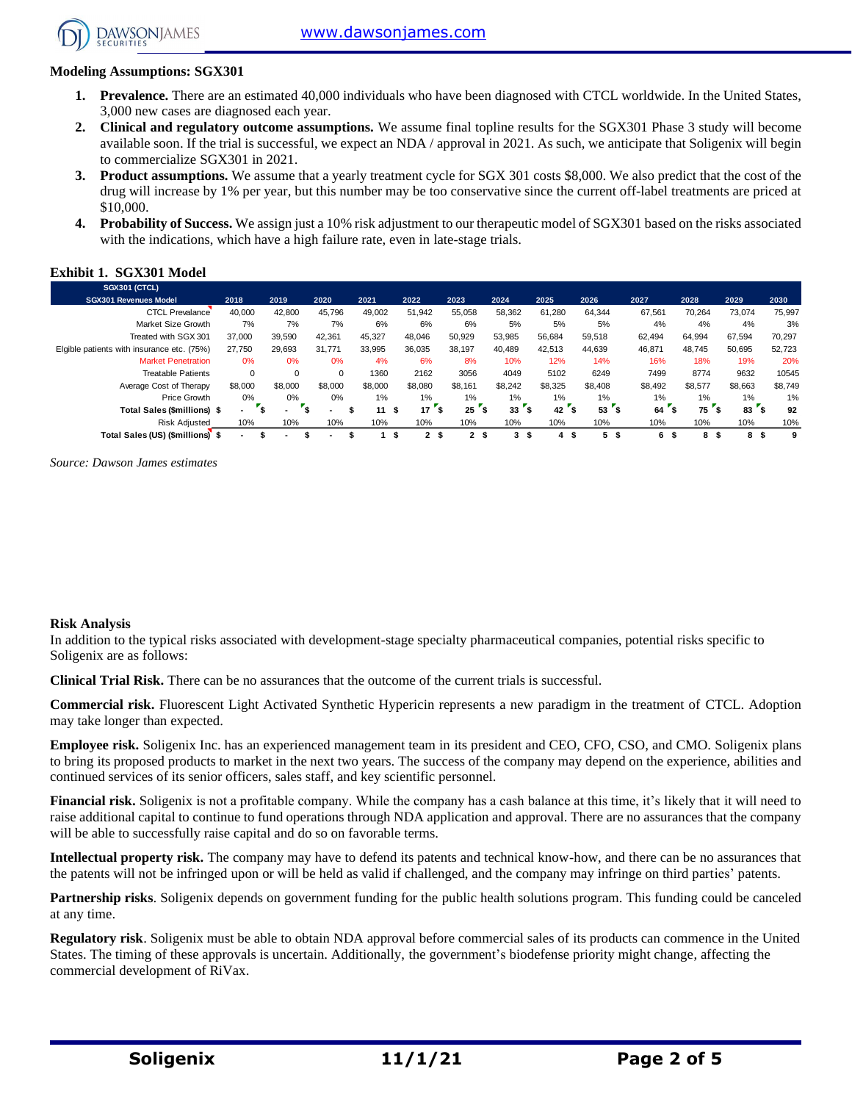[www.dawsonjames.com](http://www.dawsonjames.com/)



#### **Modeling Assumptions: SGX301**

- **1. Prevalence.** There are an estimated 40,000 individuals who have been diagnosed with CTCL worldwide. In the United States, 3,000 new cases are diagnosed each year.
- **2. Clinical and regulatory outcome assumptions.** We assume final topline results for the SGX301 Phase 3 study will become available soon. If the trial is successful, we expect an NDA / approval in 2021. As such, we anticipate that Soligenix will begin to commercialize SGX301 in 2021.
- **3. Product assumptions.** We assume that a yearly treatment cycle for SGX 301 costs \$8,000. We also predict that the cost of the drug will increase by 1% per year, but this number may be too conservative since the current off-label treatments are priced at \$10,000.
- **4. Probability of Success.** We assign just a 10% risk adjustment to our therapeutic model of SGX301 based on the risks associated with the indications, which have a high failure rate, even in late-stage trials.

#### **Exhibit 1. SGX301 Model**

| <b>SGX301 (CTCL)</b>                       |          |                          |          |         |                    |                      |         |           |           |           |          |                 |         |
|--------------------------------------------|----------|--------------------------|----------|---------|--------------------|----------------------|---------|-----------|-----------|-----------|----------|-----------------|---------|
| <b>SGX301 Revenues Model</b>               | 2018     | 2019                     | 2020     | 2021    | 2022               | 2023                 | 2024    | 2025      | 2026      | 2027      | 2028     | 2029            | 2030    |
| <b>CTCL Prevalance</b>                     | 40,000   | 42.800                   | 45,796   | 49,002  | 51,942             | 55,058               | 58,362  | 61,280    | 64.344    | 67,561    | 70.264   | 73,074          | 75,997  |
| Market Size Growth                         | 7%       | 7%                       | 7%       | 6%      | 6%                 | 6%                   | 5%      | 5%        | 5%        | 4%        | 4%       | 4%              | 3%      |
| Treated with SGX 301                       | 37,000   | 39.590                   | 42.361   | 45,327  | 48.046             | 50,929               | 53,985  | 56,684    | 59.518    | 62.494    | 64,994   | 67,594          | 70,297  |
| Elgible patients with insurance etc. (75%) | 27.750   | 29.693                   | 31.771   | 33,995  | 36.035             | 38.197               | 40.489  | 42.513    | 44.639    | 46.871    | 48.745   | 50.695          | 52,723  |
| <b>Market Penetration</b>                  | 0%       | 0%                       | 0%       | 4%      | 6%                 | 8%                   | 10%     | 12%       | 14%       | 16%       | 18%      | 19%             | 20%     |
| <b>Treatable Patients</b>                  | $\Omega$ | 0                        | $\Omega$ | 1360    | 2162               | 3056                 | 4049    | 5102      | 6249      | 7499      | 8774     | 9632            | 10545   |
| Average Cost of Therapy                    | \$8,000  | \$8,000                  | \$8,000  | \$8,000 | \$8,080            | \$8,161              | \$8,242 | \$8,325   | \$8,408   | \$8,492   | \$8,577  | \$8,663         | \$8,749 |
| Price Growth                               | 0%       | $0\%$                    | 0%       | $1\%$   | 1%                 | 1%                   | $1\%$   | 1%        | $1\%$     | 1%        | 1%       | 1%              | 1%      |
| Total Sales (\$millions) \$                | ۰.       | $\overline{\phantom{a}}$ |          | 11      | 17<br>\$           | 25<br>-55            | 33      | 42        | '\$<br>53 | 64        | 75<br>Ŝ. | 83 <sup>2</sup> | 92      |
| <b>Risk Adjusted</b>                       | 10%      | 10%                      | 10%      | 10%     | 10%                | 10%                  | 10%     | 10%       | 10%       | 10%       | 10%      | 10%             | 10%     |
| Total Sales (US) (\$millions) \$           | ۰.       | ۰.                       |          |         | $\mathbf{2}$<br>s. | 2 <sup>5</sup><br>-S | 3       | - \$<br>4 | 5<br>- \$ | 6<br>- \$ | 8<br>-S  | 8<br>9          | 9       |

*Source: Dawson James estimates*

#### **Risk Analysis**

In addition to the typical risks associated with development-stage specialty pharmaceutical companies, potential risks specific to Soligenix are as follows:

**Clinical Trial Risk.** There can be no assurances that the outcome of the current trials is successful.

**Commercial risk.** Fluorescent Light Activated Synthetic Hypericin represents a new paradigm in the treatment of CTCL. Adoption may take longer than expected.

**Employee risk.** Soligenix Inc. has an experienced management team in its president and CEO, CFO, CSO, and CMO. Soligenix plans to bring its proposed products to market in the next two years. The success of the company may depend on the experience, abilities and continued services of its senior officers, sales staff, and key scientific personnel.

**Financial risk.** Soligenix is not a profitable company. While the company has a cash balance at this time, it's likely that it will need to raise additional capital to continue to fund operations through NDA application and approval. There are no assurances that the company will be able to successfully raise capital and do so on favorable terms.

**Intellectual property risk.** The company may have to defend its patents and technical know-how, and there can be no assurances that the patents will not be infringed upon or will be held as valid if challenged, and the company may infringe on third parties' patents.

**Partnership risks**. Soligenix depends on government funding for the public health solutions program. This funding could be canceled at any time.

**Regulatory risk**. Soligenix must be able to obtain NDA approval before commercial sales of its products can commence in the United States. The timing of these approvals is uncertain. Additionally, the government's biodefense priority might change, affecting the commercial development of RiVax.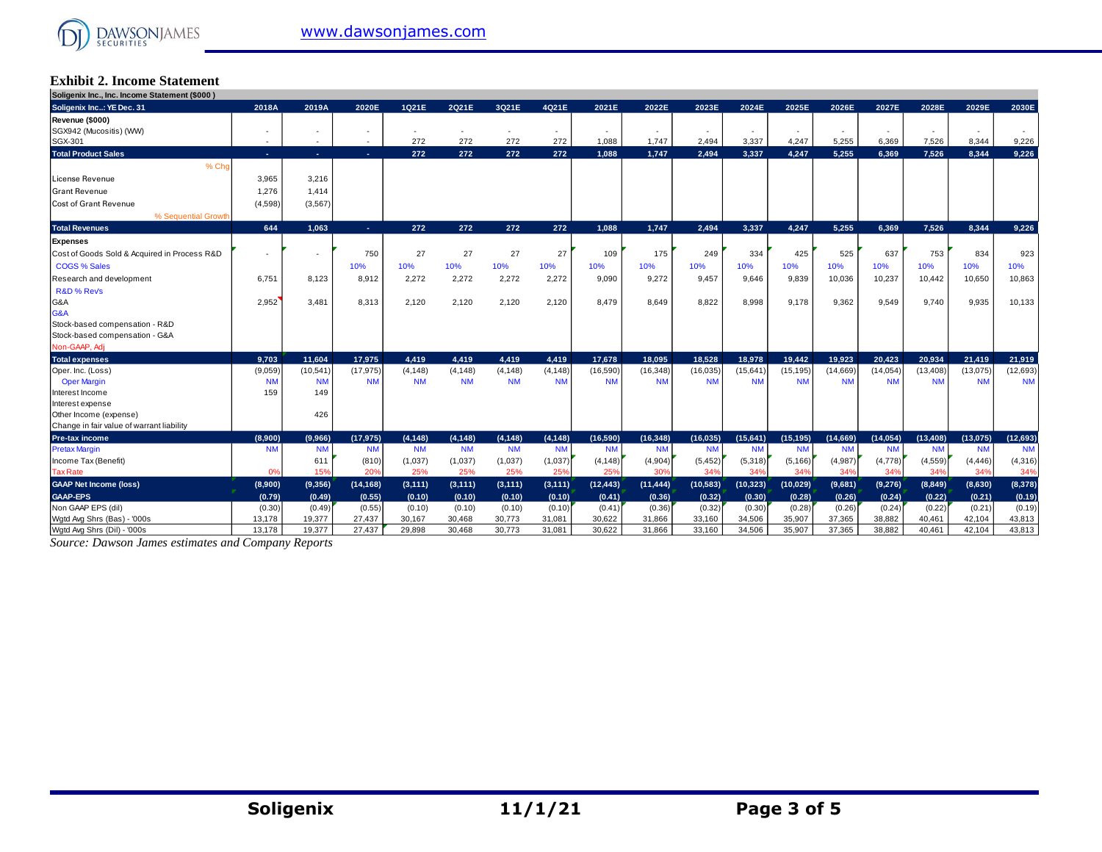# **Exhibit 2. Income Statement**

| Soligenix Inc., Inc. Income Statement (\$000) |            |           |                          |           |           |           |           |           |           |           |           |           |           |           |           |           |           |
|-----------------------------------------------|------------|-----------|--------------------------|-----------|-----------|-----------|-----------|-----------|-----------|-----------|-----------|-----------|-----------|-----------|-----------|-----------|-----------|
| Soligenix Inc: YE Dec. 31                     | 2018A      | 2019A     | 2020E                    | 1Q21E     | 2Q21E     | 3Q21E     | 4Q21E     | 2021E     | 2022E     | 2023E     | 2024E     | 2025E     | 2026E     | 2027E     | 2028E     | 2029E     | 2030E     |
| Revenue (\$000)                               |            |           |                          |           |           |           |           |           |           |           |           |           |           |           |           |           |           |
| SGX942 (Mucositis) (WW)                       |            |           |                          |           |           |           |           |           |           |           |           |           |           |           |           |           |           |
| SGX-301                                       | $\sim$     | $\sim$    | $\overline{\phantom{a}}$ | 272       | 272       | 272       | 272       | 1,088     | 1.747     | 2.494     | 3,337     | 4,247     | 5,255     | 6.369     | 7,526     | 8.344     | 9,226     |
| <b>Total Product Sales</b>                    | <b>COL</b> | $\sim$    | ×.                       | 272       | 272       | 272       | 272       | 1,088     | 1.747     | 2,494     | 3,337     | 4,247     | 5.255     | 6.369     | 7,526     | 8,344     | 9.226     |
| % Cho                                         |            |           |                          |           |           |           |           |           |           |           |           |           |           |           |           |           |           |
| License Revenue                               | 3,965      | 3,216     |                          |           |           |           |           |           |           |           |           |           |           |           |           |           |           |
| <b>Grant Revenue</b>                          | 1,276      | 1.414     |                          |           |           |           |           |           |           |           |           |           |           |           |           |           |           |
| Cost of Grant Revenue                         | (4,598)    | (3, 567)  |                          |           |           |           |           |           |           |           |           |           |           |           |           |           |           |
| % Sequential Growth                           |            |           |                          |           |           |           |           |           |           |           |           |           |           |           |           |           |           |
| <b>Total Revenues</b>                         | 644        | 1.063     | $\sim$                   | 272       | 272       | 272       | 272       | 1.088     | 1.747     | 2,494     | 3,337     | 4.247     | 5.255     | 6.369     | 7,526     | 8.344     | 9,226     |
| Expenses                                      |            |           |                          |           |           |           |           |           |           |           |           |           |           |           |           |           |           |
| Cost of Goods Sold & Acquired in Process R&D  |            |           | 750                      | 27        | 27        | 27        | 27        | 109       | 175       | 249       | 334       | 425       | 525       | 637       | 753       | 834       | 923       |
| <b>COGS % Sales</b>                           |            |           | 10%                      | 10%       | 10%       | 10%       | 10%       | 10%       | 10%       | 10%       | 10%       | 10%       | 10%       | 10%       | 10%       | 10%       | 10%       |
| Research and development                      | 6,751      | 8,123     | 8,912                    | 2,272     | 2,272     | 2,272     | 2,272     | 9,090     | 9,272     | 9.457     | 9.646     | 9,839     | 10,036    | 10,237    | 10,442    | 10,650    | 10,863    |
| R&D % Rev's                                   |            |           |                          |           |           |           |           |           |           |           |           |           |           |           |           |           |           |
| G&A                                           | 2,952      | 3,481     | 8,313                    | 2,120     | 2,120     | 2,120     | 2,120     | 8.479     | 8,649     | 8,822     | 8.998     | 9,178     | 9,362     | 9,549     | 9,740     | 9.935     | 10,133    |
| G&A                                           |            |           |                          |           |           |           |           |           |           |           |           |           |           |           |           |           |           |
| Stock-based compensation - R&D                |            |           |                          |           |           |           |           |           |           |           |           |           |           |           |           |           |           |
| Stock-based compensation - G&A                |            |           |                          |           |           |           |           |           |           |           |           |           |           |           |           |           |           |
| Non-GAAP, Adj                                 |            |           |                          |           |           |           |           |           |           |           |           |           |           |           |           |           |           |
| <b>Total expenses</b>                         | 9,703      | 11,604    | 17,975                   | 4.419     | 4.419     | 4.419     | 4,419     | 17,678    | 18.095    | 18.528    | 18.978    | 19.442    | 19.923    | 20.423    | 20.934    | 21,419    | 21,919    |
| Oper. Inc. (Loss)                             | (9,059)    | (10, 541) | (17, 975)                | (4, 148)  | (4, 148)  | (4, 148)  | (4, 148)  | (16, 590) | (16, 348) | (16, 035) | (15, 641) | (15, 195) | (14,669)  | (14, 054) | (13, 408) | (13,075)  | (12, 693) |
| <b>Oper Margin</b>                            | <b>NM</b>  | <b>NM</b> | <b>NM</b>                | <b>NM</b> | <b>NM</b> | <b>NM</b> | <b>NM</b> | <b>NM</b> | <b>NM</b> | <b>NM</b> | <b>NM</b> | <b>NM</b> | <b>NM</b> | <b>NN</b> | <b>NM</b> | <b>NM</b> | <b>NM</b> |
| Interest Income                               | 159        | 149       |                          |           |           |           |           |           |           |           |           |           |           |           |           |           |           |
| Interest expense                              |            |           |                          |           |           |           |           |           |           |           |           |           |           |           |           |           |           |
| Other Income (expense)                        |            | 426       |                          |           |           |           |           |           |           |           |           |           |           |           |           |           |           |
| Change in fair value of warrant liability     |            |           |                          |           |           |           |           |           |           |           |           |           |           |           |           |           |           |
| Pre-tax income                                | (8,900)    | (9,966)   | (17, 975)                | (4, 148)  | (4, 148)  | (4, 148)  | (4, 148)  | (16, 590) | (16, 348) | (16, 035) | (15.641)  | (15, 195) | (14,669)  | (14, 054) | (13, 408) | (13.075)  | (12, 693) |
| <b>Pretax Margin</b>                          | <b>NM</b>  | <b>NM</b> | <b>NM</b>                | <b>NM</b> | <b>NM</b> | <b>NM</b> | <b>NM</b> | <b>NM</b> | <b>NM</b> | <b>NM</b> | <b>NM</b> | <b>NM</b> | <b>NM</b> | <b>NM</b> | <b>NM</b> | <b>NM</b> | <b>NM</b> |
| Income Tax (Benefit)                          |            | 611       | (810)                    | (1,037)   | (1,037)   | (1,037)   | (1,037)   | (4, 148)  | (4,904)   | (5, 452)  | (5,318)   | (5, 166)  | (4,987)   | (4,778)   | (4, 559)  | (4, 446)  | (4,316)   |
| <b>Tax Rate</b>                               | 0%         | 15%       | 20%                      | 25%       | 25%       | 25%       | 25%       | 25%       | 30%       | 34%       | 34%       | 34%       | 349       | 349       | 34%       | 34%       | 34%       |
| <b>GAAP Net Income (loss)</b>                 | (8,900)    | (9,356)   | (14, 168)                | (3, 111)  | (3, 111)  | (3, 111)  | (3, 111)  | (12, 443) | (11, 444) | (10, 583) | (10, 323) | (10,029)  | (9,681)   | (9,276)   | (8,849)   | (8,630)   | (8, 378)  |
| <b>GAAP-EPS</b>                               | (0.79)     | (0.49)    | (0.55)                   | (0.10)    | (0.10)    | (0.10)    | (0.10)    | (0.41)    | (0.36)    | (0.32)    | (0.30)    | (0.28)    | (0.26)    | (0.24)    | (0.22)    | (0.21)    | (0.19)    |
| Non GAAP EPS (dil)                            | (0.30)     | (0.49)    | (0.55)                   | (0.10)    | (0.10)    | (0.10)    | (0.10)    | (0.41)    | (0.36)    | (0.32)    | (0.30)    | (0.28)    | (0.26)    | (0.24)    | (0.22)    | (0.21)    | (0.19)    |
| Wotd Avg Shrs (Bas) - '000s                   | 13.178     | 19.377    | 27.437                   | 30,167    | 30.468    | 30,773    | 31.081    | 30,622    | 31,866    | 33,160    | 34,506    | 35,907    | 37,365    | 38.882    | 40.461    | 42.104    | 43,813    |
| Watd Ava Shrs (Dil) - '000s                   | 13.178     | 19.377    | 27.437                   | 29.898    | 30.468    | 30.773    | 31.081    | 30.622    | 31.866    | 33,160    | 34.506    | 35.907    | 37.365    | 38,882    | 40.461    | 42.104    | 43.813    |

*Source: Dawson James estimates and Company Reports* Source: Daw son James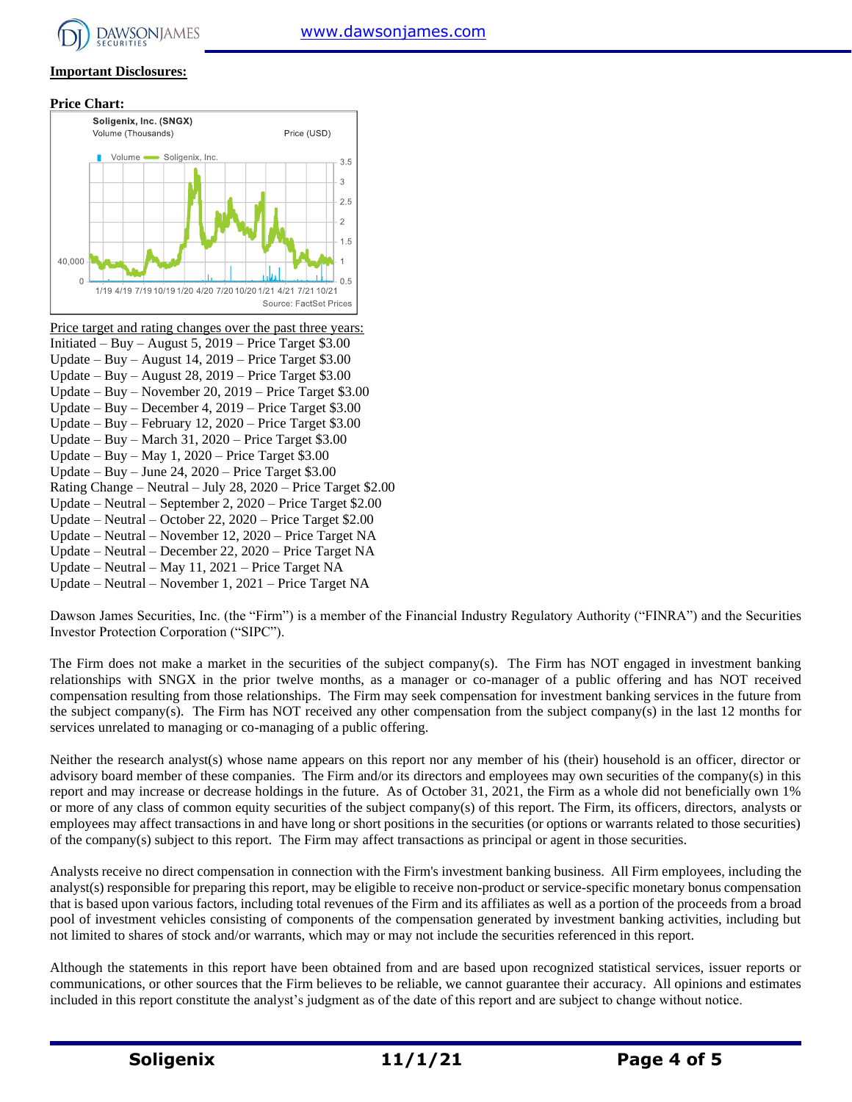

### **Important Disclosures:**

#### **Price Chart:**



Price target and rating changes over the past three years: Initiated – Buy – August 5, 2019 – Price Target \$3.00 Update – Buy – August 14, 2019 – Price Target \$3.00 Update – Buy – August 28, 2019 – Price Target \$3.00 Update – Buy – November 20, 2019 – Price Target \$3.00 Update – Buy – December 4, 2019 – Price Target \$3.00 Update – Buy – February 12, 2020 – Price Target \$3.00 Update – Buy – March 31, 2020 – Price Target \$3.00 Update – Buy – May 1, 2020 – Price Target \$3.00 Update – Buy – June 24, 2020 – Price Target \$3.00 Rating Change – Neutral – July 28, 2020 – Price Target \$2.00 Update – Neutral – September 2, 2020 – Price Target \$2.00 Update – Neutral – October 22, 2020 – Price Target \$2.00 Update – Neutral – November 12, 2020 – Price Target NA Update – Neutral – December 22, 2020 – Price Target NA Update – Neutral – May 11, 2021 – Price Target NA Update – Neutral – November 1, 2021 – Price Target NA

Dawson James Securities, Inc. (the "Firm") is a member of the Financial Industry Regulatory Authority ("FINRA") and the Securities Investor Protection Corporation ("SIPC").

The Firm does not make a market in the securities of the subject company(s). The Firm has NOT engaged in investment banking relationships with SNGX in the prior twelve months, as a manager or co-manager of a public offering and has NOT received compensation resulting from those relationships. The Firm may seek compensation for investment banking services in the future from the subject company(s). The Firm has NOT received any other compensation from the subject company(s) in the last 12 months for services unrelated to managing or co-managing of a public offering.

Neither the research analyst(s) whose name appears on this report nor any member of his (their) household is an officer, director or advisory board member of these companies. The Firm and/or its directors and employees may own securities of the company(s) in this report and may increase or decrease holdings in the future. As of October 31, 2021, the Firm as a whole did not beneficially own 1% or more of any class of common equity securities of the subject company(s) of this report. The Firm, its officers, directors, analysts or employees may affect transactions in and have long or short positions in the securities (or options or warrants related to those securities) of the company(s) subject to this report. The Firm may affect transactions as principal or agent in those securities.

Analysts receive no direct compensation in connection with the Firm's investment banking business. All Firm employees, including the analyst(s) responsible for preparing this report, may be eligible to receive non-product or service-specific monetary bonus compensation that is based upon various factors, including total revenues of the Firm and its affiliates as well as a portion of the proceeds from a broad pool of investment vehicles consisting of components of the compensation generated by investment banking activities, including but not limited to shares of stock and/or warrants, which may or may not include the securities referenced in this report.

Although the statements in this report have been obtained from and are based upon recognized statistical services, issuer reports or communications, or other sources that the Firm believes to be reliable, we cannot guarantee their accuracy. All opinions and estimates included in this report constitute the analyst's judgment as of the date of this report and are subject to change without notice.